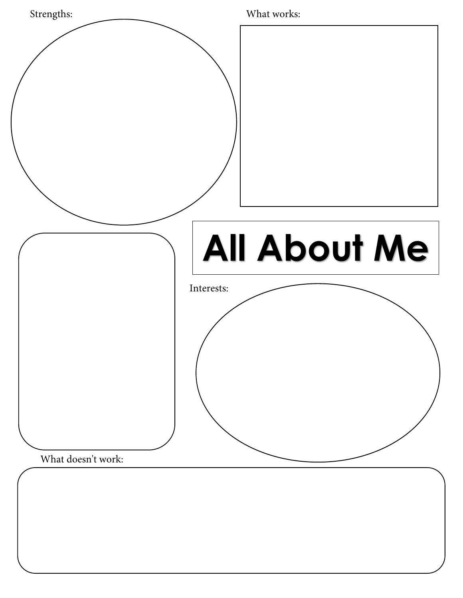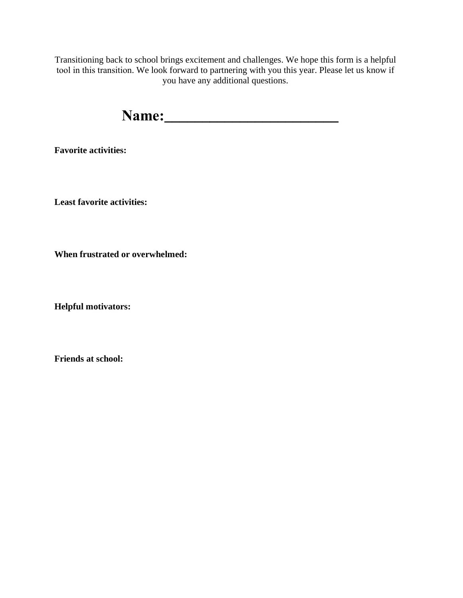Transitioning back to school brings excitement and challenges. We hope this form is a helpful tool in this transition. We look forward to partnering with you this year. Please let us know if you have any additional questions.

**Name:\_\_\_\_\_\_\_\_\_\_\_\_\_\_\_\_\_\_\_\_\_\_\_**

**Favorite activities:**

**Least favorite activities:**

**When frustrated or overwhelmed:**

**Helpful motivators:**

**Friends at school:**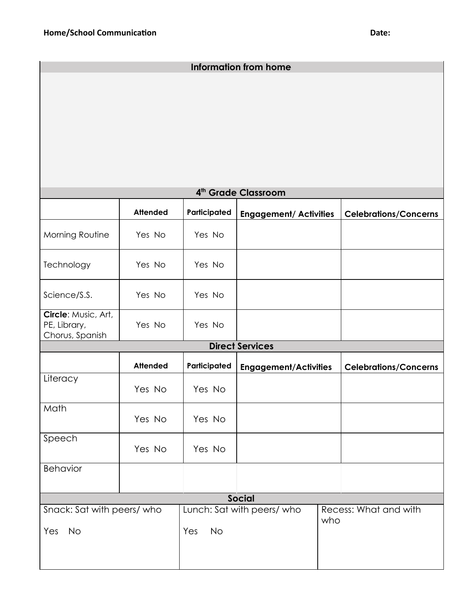| <b>Information from home</b>                           |                 |                            |                               |                              |                              |
|--------------------------------------------------------|-----------------|----------------------------|-------------------------------|------------------------------|------------------------------|
|                                                        |                 |                            |                               |                              |                              |
|                                                        |                 |                            |                               |                              |                              |
|                                                        |                 |                            |                               |                              |                              |
|                                                        |                 |                            |                               |                              |                              |
|                                                        |                 |                            |                               |                              |                              |
|                                                        |                 |                            |                               |                              |                              |
| 4 <sup>th</sup> Grade Classroom                        |                 |                            |                               |                              |                              |
|                                                        | <b>Attended</b> | Participated               | <b>Engagement/ Activities</b> |                              | <b>Celebrations/Concerns</b> |
| Morning Routine                                        | Yes No          | Yes No                     |                               |                              |                              |
| Technology                                             | Yes No          | Yes No                     |                               |                              |                              |
| Science/S.S.                                           | Yes No          | Yes No                     |                               |                              |                              |
| Circle: Music, Art,<br>PE, Library,<br>Chorus, Spanish | Yes No          | Yes No                     |                               |                              |                              |
| <b>Direct Services</b>                                 |                 |                            |                               |                              |                              |
|                                                        | <b>Attended</b> | Participated               | <b>Engagement/Activities</b>  |                              | <b>Celebrations/Concerns</b> |
| Literacy                                               | Yes No          | Yes No                     |                               |                              |                              |
| Math                                                   | Yes No          | Yes No                     |                               |                              |                              |
| Speech                                                 | Yes No          | Yes No                     |                               |                              |                              |
| Behavior                                               |                 |                            |                               |                              |                              |
| <b>Social</b>                                          |                 |                            |                               |                              |                              |
| Snack: Sat with peers/ who                             |                 | Lunch: Sat with peers/ who |                               | Recess: What and with<br>who |                              |
| <b>No</b><br>Yes                                       |                 | No<br>Yes                  |                               |                              |                              |
|                                                        |                 |                            |                               |                              |                              |